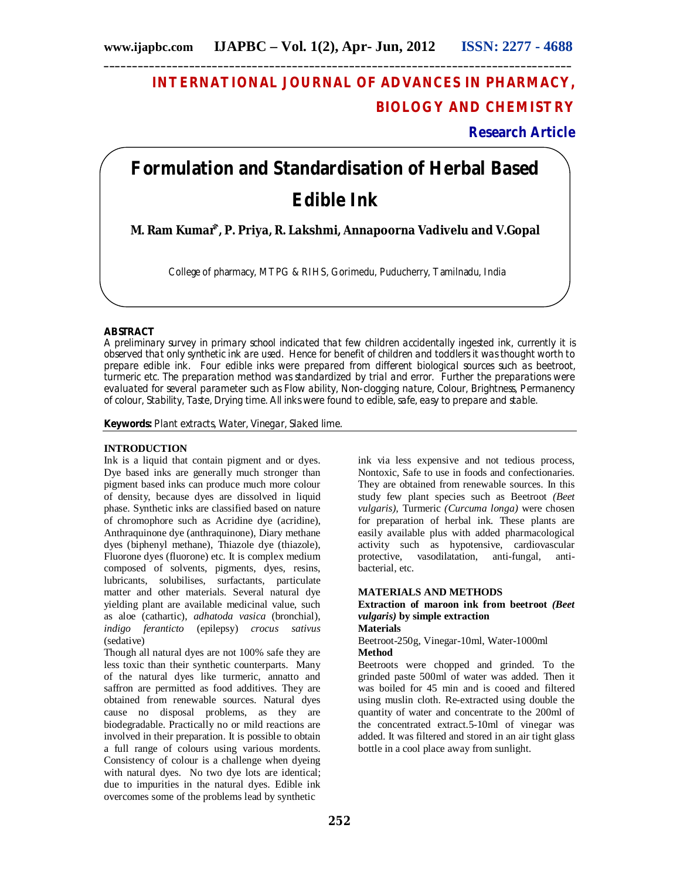# **INTERNATIONAL JOURNAL OF ADVANCES IN PHARMACY, BIOLOGY AND CHEMISTRY**

**Research Article**

# **Formulation and Standardisation of Herbal Based Edible Ink**

**M. Ram Kumar⃰`, P. Priya, R. Lakshmi, Annapoorna Vadivelu and V.Gopal**

College of pharmacy, MTPG & RIHS, Gorimedu, Puducherry, Tamilnadu, India

# **ABSTRACT**

A preliminary survey in primary school indicated that few children accidentally ingested ink, currently it is observed that only synthetic ink are used. Hence for benefit of children and toddlers it was thought worth to prepare edible ink. Four edible inks were prepared from different biological sources such as beetroot, turmeric etc. The preparation method was standardized by trial and error. Further the preparations were evaluated for several parameter such as Flow ability, Non-clogging nature, Colour, Brightness, Permanency of colour, Stability, Taste, Drying time. All inks were found to edible, safe, easy to prepare and stable.

**Keywords:** Plant extracts, Water, Vinegar, Slaked lime.

#### **INTRODUCTION**

Ink is a liquid that contain pigment and or dyes. Dye based inks are generally much stronger than pigment based inks can produce much more colour of density, because dyes are dissolved in liquid phase. Synthetic inks are classified based on nature of chromophore such as Acridine dye (acridine), Anthraquinone dye (anthraquinone), Diary methane dyes (biphenyl methane), Thiazole dye (thiazole), Fluorone dyes (fluorone) etc. It is complex medium composed of solvents, pigments, dyes, resins, lubricants, solubilises, surfactants, particulate matter and other materials. Several natural dye yielding plant are available medicinal value, such as aloe (cathartic), *adhatoda vasica* (bronchial), *indigo feranticto* (epilepsy) *crocus sativus* (sedative)

Though all natural dyes are not 100% safe they are less toxic than their synthetic counterparts. Many of the natural dyes like turmeric, annatto and saffron are permitted as food additives. They are obtained from renewable sources. Natural dyes cause no disposal problems, as they are biodegradable. Practically no or mild reactions are involved in their preparation. It is possible to obtain a full range of colours using various mordents. Consistency of colour is a challenge when dyeing with natural dyes. No two dye lots are identical; due to impurities in the natural dyes. Edible ink overcomes some of the problems lead by synthetic

ink via less expensive and not tedious process, Nontoxic, Safe to use in foods and confectionaries. They are obtained from renewable sources. In this study few plant species such as Beetroot *(Beet vulgaris),* Turmeric *(Curcuma longa)* were chosen for preparation of herbal ink. These plants are easily available plus with added pharmacological activity such as hypotensive, cardiovascular protective, vasodilatation, anti-fungal, antibacterial, etc.

#### **MATERIALS AND METHODS**

#### **Extraction of maroon ink from beetroot** *(Beet vulgaris)* **by simple extraction Materials**

#### Beetroot-250g, Vinegar-10ml, Water-1000ml **Method**

Beetroots were chopped and grinded. To the grinded paste 500ml of water was added. Then it was boiled for 45 min and is cooed and filtered using muslin cloth. Re-extracted using double the quantity of water and concentrate to the 200ml of the concentrated extract.5-10ml of vinegar was added. It was filtered and stored in an air tight glass bottle in a cool place away from sunlight.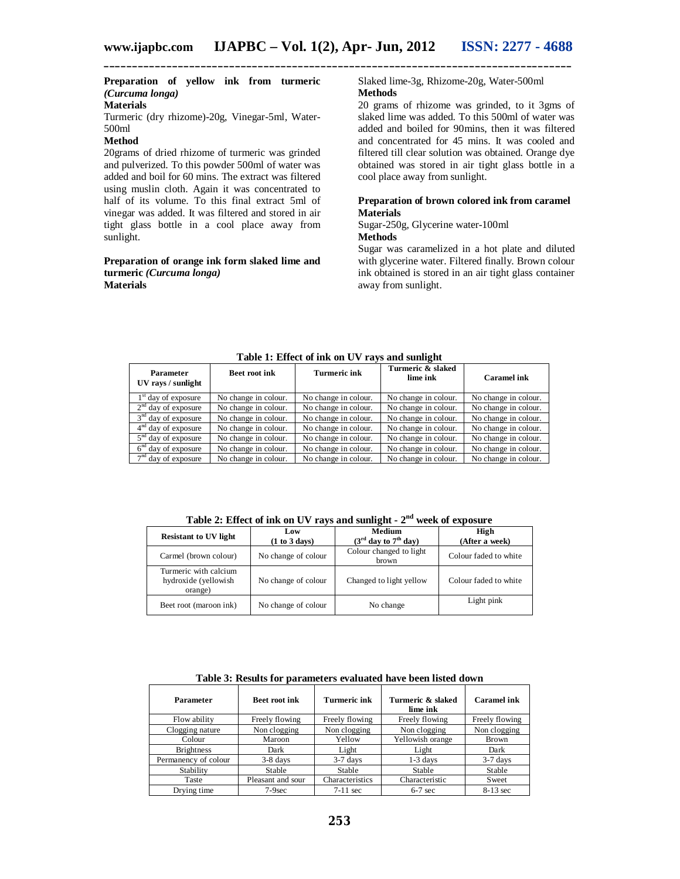# **Preparation of yellow ink from turmeric** *(Curcuma longa)*

# **Materials**

Turmeric (dry rhizome)-20g, Vinegar-5ml, Water-500ml

## **Method**

20grams of dried rhizome of turmeric was grinded and pulverized. To this powder 500ml of water was added and boil for 60 mins. The extract was filtered using muslin cloth. Again it was concentrated to half of its volume. To this final extract 5ml of vinegar was added. It was filtered and stored in air tight glass bottle in a cool place away from sunlight.

#### **Preparation of orange ink form slaked lime and turmeric** *(Curcuma longa)* **Materials**

#### Slaked lime-3g, Rhizome-20g, Water-500ml **Methods**

20 grams of rhizome was grinded, to it 3gms of slaked lime was added. To this 500ml of water was added and boiled for 90mins, then it was filtered and concentrated for 45 mins. It was cooled and filtered till clear solution was obtained. Orange dye obtained was stored in air tight glass bottle in a cool place away from sunlight.

#### **Preparation of brown colored ink from caramel Materials**

Sugar-250g, Glycerine water-100ml **Methods**

Sugar was caramelized in a hot plate and diluted with glycerine water. Filtered finally. Brown colour ink obtained is stored in an air tight glass container away from sunlight.

| Parameter<br>UV rays / sunlight | <b>Beet root ink</b> | <b>Turmeric ink</b>  | Turmeric & slaked<br>lime ink | Caramel ink          |
|---------------------------------|----------------------|----------------------|-------------------------------|----------------------|
| $1st$ day of exposure           | No change in colour. | No change in colour. | No change in colour.          | No change in colour. |
| $2nd$ day of exposure           | No change in colour. | No change in colour. | No change in colour.          | No change in colour. |
| $3nd$ day of exposure           | No change in colour. | No change in colour. | No change in colour.          | No change in colour. |
| $4nd$ day of exposure           | No change in colour. | No change in colour. | No change in colour.          | No change in colour. |
| $5nd$ day of exposure           | No change in colour. | No change in colour. | No change in colour.          | No change in colour. |
| $6nd$ day of exposure           | No change in colour. | No change in colour. | No change in colour.          | No change in colour. |
| $7nd$ day of exposure           | No change in colour. | No change in colour. | No change in colour.          | No change in colour. |

**Table 1: Effect of ink on UV rays and sunlight**

**Table 2: Effect of ink on UV rays and sunlight - 2 nd week of exposure**

| <b>Resistant to UV light</b>                             | Low<br>(1 to 3 days) | <b>Medium</b><br>$(3rd day to 7th day)$ | High<br>(After a week) |
|----------------------------------------------------------|----------------------|-----------------------------------------|------------------------|
| Carmel (brown colour)                                    | No change of colour  | Colour changed to light<br>brown        | Colour faded to white  |
| Turmeric with calcium<br>hydroxide (yellowish<br>orange) | No change of colour  | Changed to light yellow                 | Colour faded to white  |
| Beet root (maroon ink)                                   | No change of colour  | No change                               | Light pink             |

**Table 3: Results for parameters evaluated have been listed down**

| <b>Parameter</b>     | <b>Beet root ink</b> | Turmeric ink    | Turmeric & slaked<br>lime ink | Caramel ink    |
|----------------------|----------------------|-----------------|-------------------------------|----------------|
| Flow ability         | Freely flowing       | Freely flowing  | Freely flowing                | Freely flowing |
| Clogging nature      | Non clogging         | Non clogging    | Non clogging                  | Non clogging   |
| Colour               | Maroon               | Yellow          | Yellowish orange              | Brown          |
| <b>Brightness</b>    | Dark                 | Light           | Light                         | Dark           |
| Permanency of colour | $3-8$ days           | $3-7$ days      | $1-3$ days                    | $3-7$ days     |
| Stability            | Stable               | Stable          | <b>Stable</b>                 | Stable         |
| Taste                | Pleasant and sour    | Characteristics | Characteristic                | Sweet          |
| Drying time          | $7-9$ sec            | $7-11$ sec      | $6-7$ sec                     | $8-13$ sec     |